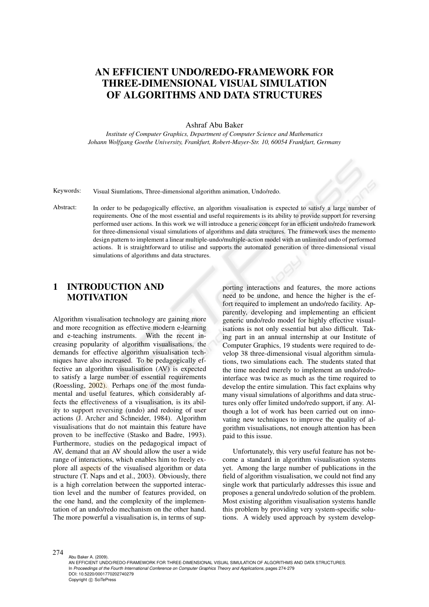# AN EFFICIENT UNDO/REDO-FRAMEWORK FOR THREE-DIMENSIONAL VISUAL SIMULATION OF ALGORITHMS AND DATA STRUCTURES

Ashraf Abu Baker

*Institute of Computer Graphics, Department of Computer Science and Mathematics Johann Wolfgang Goethe University, Frankfurt, Robert-Mayer-Str. 10, 60054 Frankfurt, Germany*

Keywords: Visual Siumlations, Three-dimensional algorithm animation, Undo/redo.

Abstract: In order to be pedagogically effective, an algorithm visualisation is expected to satisfy a large number of requirements. One of the most essential and useful requirements is its ability to provide support for reversing performed user actions. In this work we will introduce a generic concept for an efficient undo/redo framework for three-dimensional visual simulations of algorithms and data structures. The framework uses the memento design pattern to implement a linear multiple-undo/multiple-action model with an unlimited undo of performed actions. It is straightforward to utilise and supports the automated generation of three-dimensional visual simulations of algorithms and data structures.

## 1 INTRODUCTION AND **MOTIVATION**

Algorithm visualisation technology are gaining more and more recognition as effective modern e-learning and e-teaching instruments. With the recent increasing popularity of algorithm visualisations, the demands for effective algorithm visualisation techniques have also increased. To be pedagogically effective an algorithm visualisation (AV) is expected to satisfy a large number of essential requirements (Roessling, 2002). Perhaps one of the most fundamental and useful features, which considerably affects the effectiveness of a visualisation, is its ability to support reversing (undo) and redoing of user actions (J. Archer and Schneider, 1984). Algorithm visualisations that do not maintain this feature have proven to be ineffective (Stasko and Badre, 1993). Furthermore, studies on the pedagogical impact of AV, demand that an AV should allow the user a wide range of interactions, which enables him to freely explore all aspects of the visualised algorithm or data structure (T. Naps and et al., 2003). Obviously, there is a high correlation between the supported interaction level and the number of features provided, on the one hand, and the complexity of the implementation of an undo/redo mechanism on the other hand. The more powerful a visualisation is, in terms of sup-

porting interactions and features, the more actions need to be undone, and hence the higher is the effort required to implement an undo/redo facility. Apparently, developing and implementing an efficient generic undo/redo model for highly effective visualisations is not only essential but also difficult. Taking part in an annual internship at our Institute of Computer Graphics, 19 students were required to develop 38 three-dimensional visual algorithm simulations, two simulations each. The students stated that the time needed merely to implement an undo/redointerface was twice as much as the time required to develop the entire simulation. This fact explains why many visual simulations of algorithms and data structures only offer limited undo/redo support, if any. Although a lot of work has been carried out on innovating new techniques to improve the quality of algorithm visualisations, not enough attention has been paid to this issue.

Unfortunately, this very useful feature has not become a standard in algorithm visualisation systems yet. Among the large number of publications in the field of algorithm visualisation, we could not find any single work that particularly addresses this issue and proposes a general undo/redo solution of the problem. Most existing algorithm visualisation systems handle this problem by providing very system-specific solutions. A widely used approach by system develop-

274

Abu Baker A. (2009).

AN EFFICIENT UNDO/REDO-FRAMEWORK FOR THREE-DIMENSIONAL VISUAL SIMULATION OF ALGORITHMS AND DATA STRUCTURES. In *Proceedings of the Fourth International Conference on Computer Graphics Theory and Applications*, pages 274-279 DOI: 10.5220/0001770202740279 Copyright © SciTePress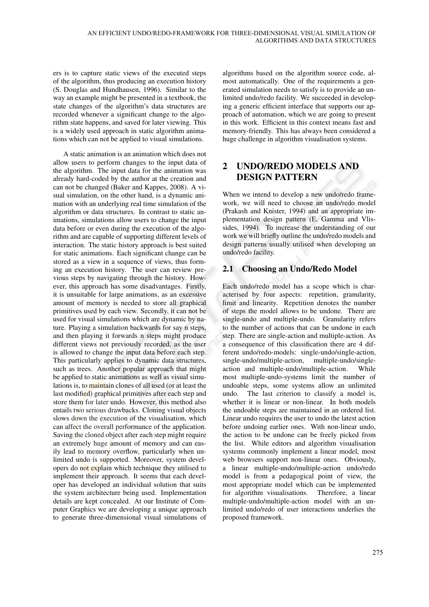ers is to capture static views of the executed steps of the algorithm, thus producing an execution history (S. Douglas and Hundhausen, 1996). Similar to the way an example might be presented in a textbook, the state changes of the algorithm's data structures are recorded whenever a significant change to the algorithm state happens, and saved for later viewing. This is a widely used approach in static algorithm animations which can not be applied to visual simulations.

A static animation is an animation which does not allow users to perform changes to the input data of the algorithm. The input data for the animation was already hard-coded by the author at the creation and can not be changed (Baker and Kappes, 2008). A visual simulation, on the other hand, is a dynamic animation with an underlying real time simulation of the algorithm or data structures. In contrast to static animations, simulations allow users to change the input data before or even during the execution of the algorithm and are capable of supporting different levels of interaction. The static history approach is best suited for static animations. Each significant change can be stored as a view in a sequence of views, thus forming an execution history. The user can review previous steps by navigating through the history. However, this approach has some disadvantages. Firstly, it is unsuitable for large animations, as an excessive amount of memory is needed to store all graphical primitives used by each view. Secondly, it can not be used for visual simulations which are dynamic by nature. Playing a simulation backwards for say n steps, and then playing it forwards n steps might produce different views not previously recorded, as the user is allowed to change the input data before each step. This particularly applies to dynamic data structures, such as trees. Another popular approach that might be applied to static animations as well as visual simulations is, to maintain clones of all used (or at least the last modified) graphical primitives after each step and store them for later undo. However, this method also entails two serious drawbacks. Cloning visual objects slows down the execution of the visualisation, which can affect the overall performance of the application. Saving the cloned object after each step might require an extremely huge amount of memory and can easily lead to memory overflow, particularly when unlimited undo is supported. Moreover, system developers do not explain which technique they utilised to implement their approach. It seems that each developer has developed an individual solution that suits the system architecture being used. Implementation details are kept concealed. At our Institute of Computer Graphics we are developing a unique approach to generate three-dimensional visual simulations of

algorithms based on the algorithm source code, almost automatically. One of the requirements a generated simulation needs to satisfy is to provide an unlimited undo/redo facility. We succeeded in developing a generic efficient interface that supports our approach of automation, which we are going to present in this work. Efficient in this context means fast and memory-friendly. This has always been considered a huge challenge in algorithm visualisation systems.

# 2 UNDO/REDO MODELS AND DESIGN PATTERN

When we intend to develop a new undo/redo framework, we will need to choose an undo/redo model (Prakash and Knister, 1994) and an appropriate implementation design pattern (E. Gamma and Vlissides, 1994). To increase the understanding of our work we will briefly outline the undo/redo models and design patterns usually utilised when developing an undo/redo facility.

### 2.1 Choosing an Undo/Redo Model

Each undo/redo model has a scope which is characterised by four aspects: repetition, granularity, limit and linearity. Repetition denotes the number of steps the model allows to be undone. There are single-undo and multiple-undo. Granularity refers to the number of actions that can be undone in each step. There are single-action and multiple-action. As a consequence of this classification there are 4 different undo/redo-models: single-undo/single-action, single-undo/multiple-action, multiple-undo/singleaction and multiple-undo/multiple-action. While most multiple-undo-systems limit the number of undoable steps, some systems allow an unlimited undo. The last criterion to classify a model is, whether it is linear or non-linear. In both models the undoable steps are maintained in an ordered list. Linear undo requires the user to undo the latest action before undoing earlier ones. With non-linear undo, the action to be undone can be freely picked from the list. While editors and algorithm visualisation systems commonly implement a linear model, most web browsers support non-linear ones. Obviously, a linear multiple-undo/multiple-action undo/redo model is from a pedagogical point of view, the most appropriate model which can be implemented for algorithm visualisations. Therefore, a linear multiple-undo/multiple-action model with an unlimited undo/redo of user interactions underlies the proposed framework.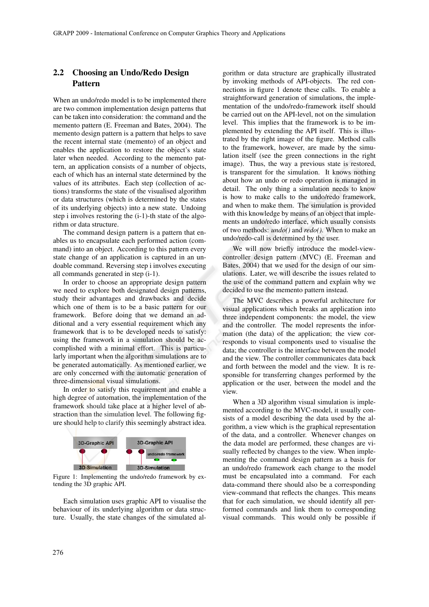### 2.2 Choosing an Undo/Redo Design Pattern

When an undo/redo model is to be implemented there are two common implementation design patterns that can be taken into consideration: the command and the memento pattern (E. Freeman and Bates, 2004). The memento design pattern is a pattern that helps to save the recent internal state (memento) of an object and enables the application to restore the object's state later when needed. According to the memento pattern, an application consists of a number of objects, each of which has an internal state determined by the values of its attributes. Each step (collection of actions) transforms the state of the visualised algorithm or data structures (which is determined by the states of its underlying objects) into a new state. Undoing step i involves restoring the (i-1)-th state of the algorithm or data structure.

The command design pattern is a pattern that enables us to encapsulate each performed action (command) into an object. According to this pattern every state change of an application is captured in an undoable command. Reversing step i involves executing all commands generated in step (i-1).

In order to choose an appropriate design pattern we need to explore both designated design patterns, study their advantages and drawbacks and decide which one of them is to be a basic pattern for our framework. Before doing that we demand an additional and a very essential requirement which any framework that is to be developed needs to satisfy: using the framework in a simulation should be accomplished with a minimal effort. This is particularly important when the algorithm simulations are to be generated automatically. As mentioned earlier, we are only concerned with the automatic generation of three-dimensional visual simulations.

In order to satisfy this requirement and enable a high degree of automation, the implementation of the framework should take place at a higher level of abstraction than the simulation level. The following figure should help to clarify this seemingly abstract idea.



Figure 1: Implementing the undo/redo framework by extending the 3D graphic API.

Each simulation uses graphic API to visualise the behaviour of its underlying algorithm or data structure. Usually, the state changes of the simulated al-

gorithm or data structure are graphically illustrated by invoking methods of API-objects. The red connections in figure 1 denote these calls. To enable a straightforward generation of simulations, the implementation of the undo/redo-framework itself should be carried out on the API-level, not on the simulation level. This implies that the framework is to be implemented by extending the API itself. This is illustrated by the right image of the figure. Method calls to the framework, however, are made by the simulation itself (see the green connections in the right image). Thus, the way a previous state is restored, is transparent for the simulation. It knows nothing about how an undo or redo operation is managed in detail. The only thing a simulation needs to know is how to make calls to the undo/redo framework, and when to make them. The simulation is provided with this knowledge by means of an object that implements an undo/redo interface, which usually consists of two methods: *undo()* and *redo()*. When to make an undo/redo-call is determined by the user.

We will now briefly introduce the model-viewcontroller design pattern (MVC) (E. Freeman and Bates, 2004) that we used for the design of our simulations. Later, we will describe the issues related to the use of the command pattern and explain why we decided to use the memento pattern instead.

The MVC describes a powerful architecture for visual applications which breaks an application into three independent components: the model, the view and the controller. The model represents the information (the data) of the application; the view corresponds to visual components used to visualise the data; the controller is the interface between the model and the view. The controller communicates data back and forth between the model and the view. It is responsible for transferring changes performed by the application or the user, between the model and the view.

When a 3D algorithm visual simulation is implemented according to the MVC-model, it usually consists of a model describing the data used by the algorithm, a view which is the graphical representation of the data, and a controller. Whenever changes on the data model are performed, these changes are visually reflected by changes to the view. When implementing the command design pattern as a basis for an undo/redo framework each change to the model must be encapsulated into a command. For each data-command there should also be a corresponding view-command that reflects the changes. This means that for each simulation, we should identify all performed commands and link them to corresponding visual commands. This would only be possible if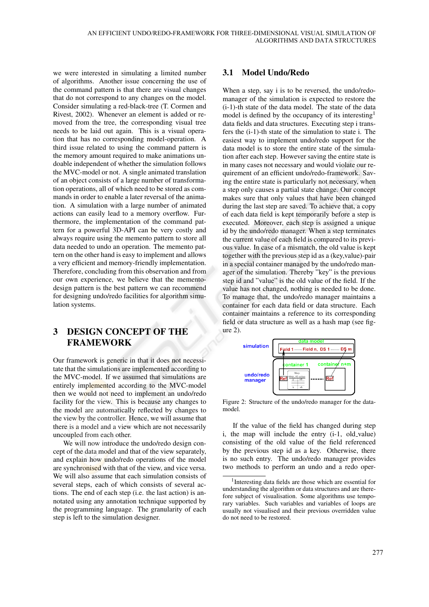we were interested in simulating a limited number of algorithms. Another issue concerning the use of the command pattern is that there are visual changes that do not correspond to any changes on the model. Consider simulating a red-black-tree (T. Cormen and Rivest, 2002). Whenever an element is added or removed from the tree, the corresponding visual tree needs to be laid out again. This is a visual operation that has no corresponding model-operation. A third issue related to using the command pattern is the memory amount required to make animations undoable independent of whether the simulation follows the MVC-model or not. A single animated translation of an object consists of a large number of transformation operations, all of which need to be stored as commands in order to enable a later reversal of the animation. A simulation with a large number of animated actions can easily lead to a memory overflow. Furthermore, the implementation of the command pattern for a powerful 3D-API can be very costly and always require using the memento pattern to store all data needed to undo an operation. The memento pattern on the other hand is easy to implement and allows a very efficient and memory-friendly implementation. Therefore, concluding from this observation and from our own experience, we believe that the mementodesign pattern is the best pattern we can recommend for designing undo/redo facilities for algorithm simulation systems.

## 3 DESIGN CONCEPT OF THE FRAMEWORK

Our framework is generic in that it does not necessitate that the simulations are implemented according to the MVC-model. If we assumed that simulations are entirely implemented according to the MVC-model then we would not need to implement an undo/redo facility for the view. This is because any changes to the model are automatically reflected by changes to the view by the controller. Hence, we will assume that there is a model and a view which are not necessarily uncoupled from each other.

We will now introduce the undo/redo design concept of the data model and that of the view separately, and explain how undo/redo operations of the model are synchronised with that of the view, and vice versa. We will also assume that each simulation consists of several steps, each of which consists of several actions. The end of each step (i.e. the last action) is annotated using any annotation technique supported by the programming language. The granularity of each step is left to the simulation designer.

#### 3.1 Model Undo/Redo

When a step, say i is to be reversed, the undo/redomanager of the simulation is expected to restore the (i-1)-th state of the data model. The state of the data model is defined by the occupancy of its interesting<sup>1</sup> data fields and data structures. Executing step i transfers the (i-1)-th state of the simulation to state i. The easiest way to implement undo/redo support for the data model is to store the entire state of the simulation after each step. However saving the entire state is in many cases not necessary and would violate our requirement of an efficient undo/redo-framework. Saving the entire state is particularly not necessary, when a step only causes a partial state change. Our concept makes sure that only values that have been changed during the last step are saved. To achieve that, a copy of each data field is kept temporarily before a step is executed. Moreover, each step is assigned a unique id by the undo/redo manager. When a step terminates the current value of each field is compared to its previous value. In case of a mismatch, the old value is kept together with the previous step id as a (key,value)-pair in a special container managed by the undo/redo manager of the simulation. Thereby "key" is the previous step id and "value" is the old value of the field. If the value has not changed, nothing is needed to be done. To manage that, the undo/redo manager maintains a container for each data field or data structure. Each container maintains a reference to its corresponding field or data structure as well as a hash map (see fig $ure 2)$ .



Figure 2: Structure of the undo/redo manager for the datamodel.

If the value of the field has changed during step i, the map will include the entry  $(i-1, old-value)$ consisting of the old value of the field referenced by the previous step id as a key. Otherwise, there is no such entry. The undo/redo manager provides two methods to perform an undo and a redo oper-

<sup>1</sup> Interesting data fields are those which are essential for understanding the algorithm or data structures and are therefore subject of visualisation. Some algorithms use temporary variables. Such variables and variables of loops are usually not visualised and their previous overridden value do not need to be restored.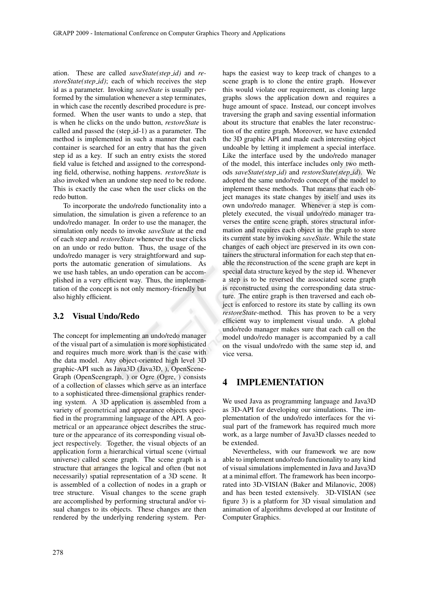ation. These are called *saveState(step id)* and *restoreState(step id)*; each of which receives the step id as a parameter. Invoking *saveState* is usually performed by the simulation whenever a step terminates, in which case the recently described procedure is preformed. When the user wants to undo a step, that is when he clicks on the undo button, *restoreState* is called and passed the (step id-1) as a parameter. The method is implemented in such a manner that each container is searched for an entry that has the given step id as a key. If such an entry exists the stored field value is fetched and assigned to the corresponding field, otherwise, nothing happens. *restoreState* is also invoked when an undone step need to be redone. This is exactly the case when the user clicks on the redo button.

To incorporate the undo/redo functionality into a simulation, the simulation is given a reference to an undo/redo manager. In order to use the manager, the simulation only needs to invoke *saveState* at the end of each step and *restoreState* whenever the user clicks on an undo or redo button. Thus, the usage of the undo/redo manager is very straightforward and supports the automatic generation of simulations. As we use hash tables, an undo operation can be accomplished in a very efficient way. Thus, the implementation of the concept is not only memory-friendly but also highly efficient.

#### 3.2 Visual Undo/Redo

The concept for implementing an undo/redo manager of the visual part of a simulation is more sophisticated and requires much more work than is the case with the data model. Any object-oriented high level 3D graphic-API such as Java3D (Java3D, ), OpenScene-Graph (OpenScengraph, ) or Ogre (Ogre, ) consists of a collection of classes which serve as an interface to a sophisticated three-dimensional graphics rendering system. A 3D application is assembled from a variety of geometrical and appearance objects specified in the programming language of the API. A geometrical or an appearance object describes the structure or the appearance of its corresponding visual object respectively. Together, the visual objects of an application form a hierarchical virtual scene (virtual universe) called scene graph. The scene graph is a structure that arranges the logical and often (but not necessarily) spatial representation of a 3D scene. It is assembled of a collection of nodes in a graph or tree structure. Visual changes to the scene graph are accomplished by performing structural and/or visual changes to its objects. These changes are then rendered by the underlying rendering system. Per-

scene graph is to clone the entire graph. However this would violate our requirement, as cloning large graphs slows the application down and requires a huge amount of space. Instead, our concept involves traversing the graph and saving essential information about its structure that enables the later reconstruction of the entire graph. Moreover, we have extended the 3D graphic API and made each interesting object undoable by letting it implement a special interface. Like the interface used by the undo/redo manager of the model, this interface includes only two methods *saveState(step id)* and *restoreState(step id)*. We adopted the same undo/redo concept of the model to implement these methods. That means that each object manages its state changes by itself and uses its own undo/redo manager. Whenever a step is completely executed, the visual undo/redo manager traverses the entire scene graph, stores structural information and requires each object in the graph to store its current state by invoking *saveState*. While the state changes of each object are preserved in its own containers the structural information for each step that enable the reconstruction of the scene graph are kept in special data structure keyed by the step id. Whenever a step is to be reversed the associated scene graph is reconstructed using the corresponding data structure. The entire graph is then traversed and each object is enforced to restore its state by calling its own *restoreState*-method. This has proven to be a very efficient way to implement visual undo. A global undo/redo manager makes sure that each call on the model undo/redo manager is accompanied by a call on the visual undo/redo with the same step id, and vice versa.

haps the easiest way to keep track of changes to a

#### 4 IMPLEMENTATION

We used Java as programming language and Java3D as 3D-API for developing our simulations. The implementation of the undo/redo interfaces for the visual part of the framework has required much more work, as a large number of Java3D classes needed to be extended.

Nevertheless, with our framework we are now able to implement undo/redo functionality to any kind of visual simulations implemented in Java and Java3D at a minimal effort. The framework has been incorporated into 3D-VISIAN (Baker and Milanovic, 2008) and has been tested extensively. 3D-VISIAN (see figure 3) is a platform for 3D visual simulation and animation of algorithms developed at our Institute of Computer Graphics.